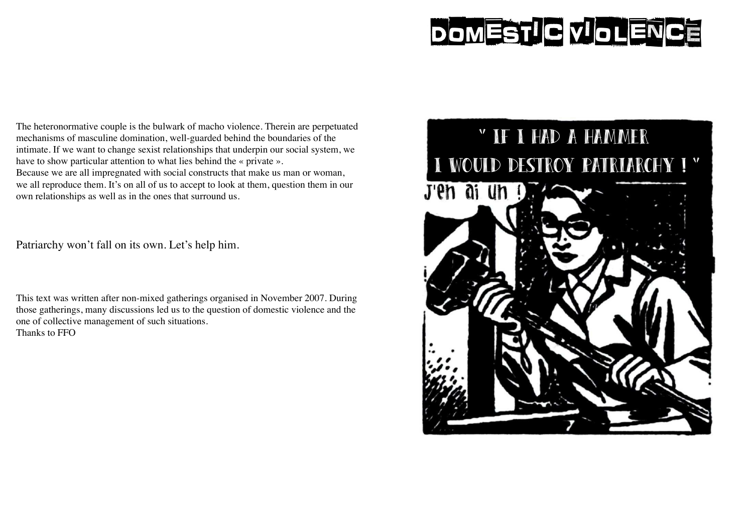# DOMESTIC VIOLENCE

The heteronormative couple is the bulwark of macho violence. Therein are perpetuated mechanisms of masculine domination, well-guarded behind the boundaries of the intimate. If we want to change sexist relationships that underpin our social system, we have to show particular attention to what lies behind the « private ». Because we are all impregnated with social constructs that make us man or woman,

we all reproduce them. It's on all of us to accept to look at them, question them in our own relationships as well as in the ones that surround us.

Patriarchy won't fall on its own. Let's help him.

This text was written after non-mixed gatherings organised in November 2007. During those gatherings, many discussions led us to the question of domestic violence and the one of collective management of such situations. Thanks to FFO

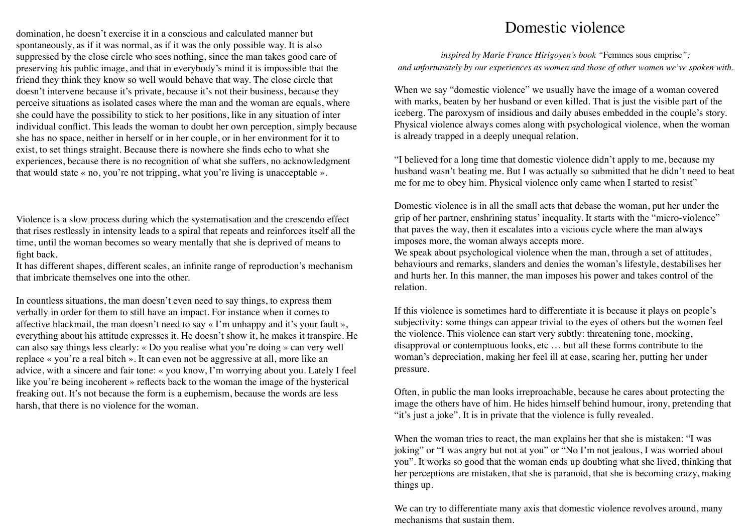domination, he doesn't exercise it in a conscious and calculated manner but spontaneously, as if it was normal, as if it was the only possible way. It is also suppressed by the close circle who sees nothing, since the man takes good care of preserving his public image, and that in everybody's mind it is impossible that the friend they think they know so well would behave that way. The close circle that doesn't intervene because it's private, because it's not their business, because they perceive situations as isolated cases where the man and the woman are equals, where she could have the possibility to stick to her positions, like in any situation of inter individual conflict. This leads the woman to doubt her own perception, simply because she has no space, neither in herself or in her couple, or in her environment for it to exist, to set things straight. Because there is nowhere she finds echo to what she experiences, because there is no recognition of what she suffers, no acknowledgment that would state « no, you're not tripping, what you're living is unacceptable ».

Violence is a slow process during which the systematisation and the crescendo effect that rises restlessly in intensity leads to a spiral that repeats and reinforces itself all the time, until the woman becomes so weary mentally that she is deprived of means to fight back.

It has different shapes, different scales, an infinite range of reproduction's mechanism that imbricate themselves one into the other.

In countless situations, the man doesn't even need to say things, to express them verbally in order for them to still have an impact. For instance when it comes to affective blackmail, the man doesn't need to say « I'm unhappy and it's your fault », everything about his attitude expresses it. He doesn't show it, he makes it transpire. He can also say things less clearly: « Do you realise what you're doing » can very well replace « you're a real bitch ». It can even not be aggressive at all, more like an advice, with a sincere and fair tone: « you know, I'm worrying about you. Lately I feel like you're being incoherent » reflects back to the woman the image of the hysterical freaking out. It's not because the form is a euphemism, because the words are less harsh, that there is no violence for the woman.

# Domestic violence

*inspired by Marie France Hirigoyen's book "*Femmes sous emprise*"; and unfortunately by our experiences as women and those of other women we've spoken with.*

When we say "domestic violence" we usually have the image of a woman covered with marks, beaten by her husband or even killed. That is just the visible part of the iceberg. The paroxysm of insidious and daily abuses embedded in the couple's story. Physical violence always comes along with psychological violence, when the woman is already trapped in a deeply unequal relation.

"I believed for a long time that domestic violence didn't apply to me, because my husband wasn't beating me. But I was actually so submitted that he didn't need to beat me for me to obey him. Physical violence only came when I started to resist"

Domestic violence is in all the small acts that debase the woman, put her under the grip of her partner, enshrining status' inequality. It starts with the "micro-violence" that paves the way, then it escalates into a vicious cycle where the man always imposes more, the woman always accepts more.

We speak about psychological violence when the man, through a set of attitudes, behaviours and remarks, slanders and denies the woman's lifestyle, destabilises her and hurts her. In this manner, the man imposes his power and takes control of the relation.

If this violence is sometimes hard to differentiate it is because it plays on people's subjectivity: some things can appear trivial to the eyes of others but the women feel the violence. This violence can start very subtly: threatening tone, mocking, disapproval or contemptuous looks, etc … but all these forms contribute to the woman's depreciation, making her feel ill at ease, scaring her, putting her under pressure.

Often, in public the man looks irreproachable, because he cares about protecting the image the others have of him. He hides himself behind humour, irony, pretending that "it's just a joke". It is in private that the violence is fully revealed.

When the woman tries to react, the man explains her that she is mistaken: "I was joking" or "I was angry but not at you" or "No I'm not jealous, I was worried about you". It works so good that the woman ends up doubting what she lived, thinking that her perceptions are mistaken, that she is paranoid, that she is becoming crazy, making things up.

We can try to differentiate many axis that domestic violence revolves around, many mechanisms that sustain them.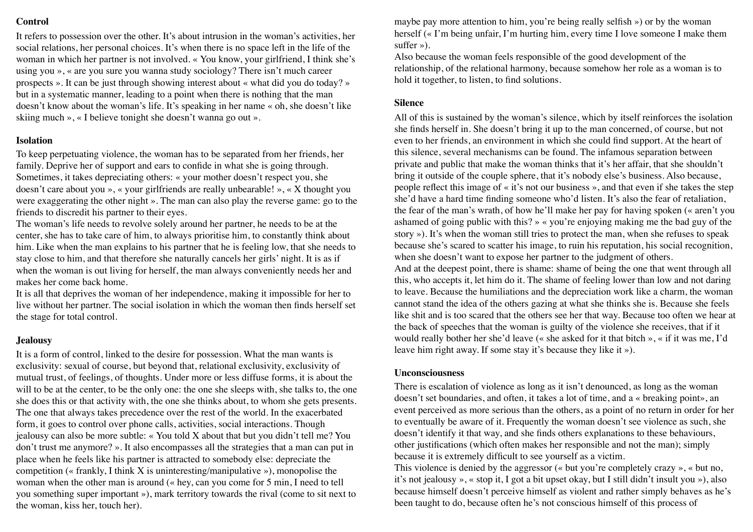# **Control**

It refers to possession over the other. It's about intrusion in the woman's activities, her social relations, her personal choices. It's when there is no space left in the life of the woman in which her partner is not involved. « You know, your girlfriend, I think she's using you », « are you sure you wanna study sociology? There isn't much career prospects ». It can be just through showing interest about « what did you do today? » but in a systematic manner, leading to a point when there is nothing that the man doesn't know about the woman's life. It's speaking in her name « oh, she doesn't like skiing much », « I believe tonight she doesn't wanna go out ».

# **Isolation**

To keep perpetuating violence, the woman has to be separated from her friends, her family. Deprive her of support and ears to confide in what she is going through. Sometimes, it takes depreciating others: « your mother doesn't respect you, she doesn't care about you », « your girlfriends are really unbearable! », « X thought you were exaggerating the other night ». The man can also play the reverse game: go to the friends to discredit his partner to their eyes.

The woman's life needs to revolve solely around her partner, he needs to be at the center, she has to take care of him, to always prioritise him, to constantly think about him. Like when the man explains to his partner that he is feeling low, that she needs to stay close to him, and that therefore she naturally cancels her girls' night. It is as if when the woman is out living for herself, the man always conveniently needs her and makes her come back home.

It is all that deprives the woman of her independence, making it impossible for her to live without her partner. The social isolation in which the woman then finds herself set the stage for total control.

#### **Jealousy**

It is a form of control, linked to the desire for possession. What the man wants is exclusivity: sexual of course, but beyond that, relational exclusivity, exclusivity of mutual trust, of feelings, of thoughts. Under more or less diffuse forms, it is about the will to be at the center, to be the only one: the one she sleeps with, she talks to, the one she does this or that activity with, the one she thinks about, to whom she gets presents. The one that always takes precedence over the rest of the world. In the exacerbated form, it goes to control over phone calls, activities, social interactions. Though jealousy can also be more subtle: « You told X about that but you didn't tell me? You don't trust me anymore? ». It also encompasses all the strategies that a man can put in place when he feels like his partner is attracted to somebody else: depreciate the competition (« frankly, I think X is uninteresting/manipulative »), monopolise the woman when the other man is around (« hey, can you come for 5 min, I need to tell you something super important »), mark territory towards the rival (come to sit next to the woman, kiss her, touch her).

maybe pay more attention to him, you're being really selfish ») or by the woman herself (« I'm being unfair, I'm hurting him, every time I love someone I make them suffer »).

Also because the woman feels responsible of the good development of the relationship, of the relational harmony, because somehow her role as a woman is to hold it together, to listen, to find solutions.

### **Silence**

All of this is sustained by the woman's silence, which by itself reinforces the isolation she finds herself in. She doesn't bring it up to the man concerned, of course, but not even to her friends, an environment in which she could find support. At the heart of this silence, several mechanisms can be found. The infamous separation between private and public that make the woman thinks that it's her affair, that she shouldn't bring it outside of the couple sphere, that it's nobody else's business. Also because, people reflect this image of « it's not our business », and that even if she takes the step she'd have a hard time finding someone who'd listen. It's also the fear of retaliation, the fear of the man's wrath, of how he'll make her pay for having spoken (« aren't you ashamed of going public with this? » « you're enjoying making me the bad guy of the story »). It's when the woman still tries to protect the man, when she refuses to speak because she's scared to scatter his image, to ruin his reputation, his social recognition, when she doesn't want to expose her partner to the judgment of others.

And at the deepest point, there is shame: shame of being the one that went through all this, who accepts it, let him do it. The shame of feeling lower than low and not daring to leave. Because the humiliations and the depreciation work like a charm, the woman cannot stand the idea of the others gazing at what she thinks she is. Because she feels like shit and is too scared that the others see her that way. Because too often we hear at the back of speeches that the woman is guilty of the violence she receives, that if it would really bother her she'd leave (« she asked for it that bitch », « if it was me, I'd leave him right away. If some stay it's because they like it »).

#### **Unconsciousness**

There is escalation of violence as long as it isn't denounced, as long as the woman doesn't set boundaries, and often, it takes a lot of time, and a « breaking point», an event perceived as more serious than the others, as a point of no return in order for her to eventually be aware of it. Frequently the woman doesn't see violence as such, she doesn't identify it that way, and she finds others explanations to these behaviours, other justifications (which often makes her responsible and not the man); simply because it is extremely difficult to see yourself as a victim.

This violence is denied by the aggressor (« but you're completely crazy », « but no, it's not jealousy », « stop it, I got a bit upset okay, but I still didn't insult you »), also because himself doesn't perceive himself as violent and rather simply behaves as he's been taught to do, because often he's not conscious himself of this process of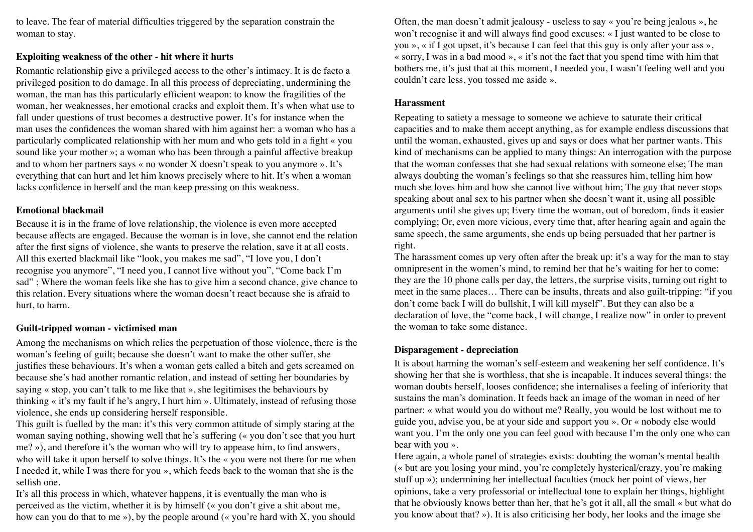to leave. The fear of material difficulties triggered by the separation constrain the woman to stay.

# **Exploiting weakness of the other - hit where it hurts**

Romantic relationship give a privileged access to the other's intimacy. It is de facto a privileged position to do damage. In all this process of depreciating, undermining the woman, the man has this particularly efficient weapon: to know the fragilities of the woman, her weaknesses, her emotional cracks and exploit them. It's when what use to fall under questions of trust becomes a destructive power. It's for instance when the man uses the confidences the woman shared with him against her: a woman who has a particularly complicated relationship with her mum and who gets told in a fight « you sound like your mother »; a woman who has been through a painful affective breakup and to whom her partners says « no wonder X doesn't speak to you anymore ». It's everything that can hurt and let him knows precisely where to hit. It's when a woman lacks confidence in herself and the man keep pressing on this weakness.

# **Emotional blackmail**

Because it is in the frame of love relationship, the violence is even more accepted because affects are engaged. Because the woman is in love, she cannot end the relation after the first signs of violence, she wants to preserve the relation, save it at all costs. All this exerted blackmail like "look, you makes me sad", "I love you, I don't recognise you anymore", "I need you, I cannot live without you", "Come back I'm sad" ; Where the woman feels like she has to give him a second chance, give chance to this relation. Every situations where the woman doesn't react because she is afraid to hurt, to harm.

# **Guilt-tripped woman - victimised man**

Among the mechanisms on which relies the perpetuation of those violence, there is the woman's feeling of guilt; because she doesn't want to make the other suffer, she justifies these behaviours. It's when a woman gets called a bitch and gets screamed on because she's had another romantic relation, and instead of setting her boundaries by saying « stop, you can't talk to me like that », she legitimises the behaviours by thinking « it's my fault if he's angry, I hurt him ». Ultimately, instead of refusing those violence, she ends up considering herself responsible.

This guilt is fuelled by the man: it's this very common attitude of simply staring at the woman saying nothing, showing well that he's suffering (« you don't see that you hurt me? »), and therefore it's the woman who will try to appease him, to find answers, who will take it upon herself to solve things. It's the « you were not there for me when I needed it, while I was there for you », which feeds back to the woman that she is the selfish one.

It's all this process in which, whatever happens, it is eventually the man who is perceived as the victim, whether it is by himself (« you don't give a shit about me, how can you do that to me  $\gg$ ), by the people around ( $\ll$  you're hard with X, you should Often, the man doesn't admit jealousy - useless to say « you're being jealous », he won't recognise it and will always find good excuses: « I just wanted to be close to you », « if I got upset, it's because I can feel that this guy is only after your ass », « sorry, I was in a bad mood », « it's not the fact that you spend time with him that bothers me, it's just that at this moment, I needed you, I wasn't feeling well and you couldn't care less, you tossed me aside ».

# **Harassment**

Repeating to satiety a message to someone we achieve to saturate their critical capacities and to make them accept anything, as for example endless discussions that until the woman, exhausted, gives up and says or does what her partner wants. This kind of mechanisms can be applied to many things: An interrogation with the purpose that the woman confesses that she had sexual relations with someone else; The man always doubting the woman's feelings so that she reassures him, telling him how much she loves him and how she cannot live without him; The guy that never stops speaking about anal sex to his partner when she doesn't want it, using all possible arguments until she gives up; Every time the woman, out of boredom, finds it easier complying; Or, even more vicious, every time that, after hearing again and again the same speech, the same arguments, she ends up being persuaded that her partner is right.

The harassment comes up very often after the break up: it's a way for the man to stay omnipresent in the women's mind, to remind her that he's waiting for her to come: they are the 10 phone calls per day, the letters, the surprise visits, turning out right to meet in the same places… There can be insults, threats and also guilt-tripping: "if you don't come back I will do bullshit, I will kill myself". But they can also be a declaration of love, the "come back, I will change, I realize now" in order to prevent the woman to take some distance.

# **Disparagement - depreciation**

It is about harming the woman's self-esteem and weakening her self confidence. It's showing her that she is worthless, that she is incapable. It induces several things: the woman doubts herself, looses confidence; she internalises a feeling of inferiority that sustains the man's domination. It feeds back an image of the woman in need of her partner: « what would you do without me? Really, you would be lost without me to guide you, advise you, be at your side and support you ». Or « nobody else would want you. I'm the only one you can feel good with because I'm the only one who can bear with you ».

Here again, a whole panel of strategies exists: doubting the woman's mental health (« but are you losing your mind, you're completely hysterical/crazy, you're making stuff up »); undermining her intellectual faculties (mock her point of views, her opinions, take a very professorial or intellectual tone to explain her things, highlight that he obviously knows better than her, that he's got it all, all the small « but what do you know about that? »). It is also criticising her body, her looks and the image she